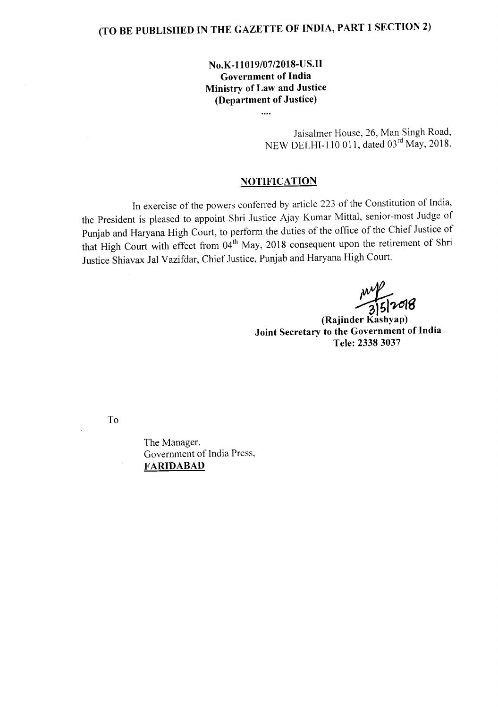# **(TO BE PUBLISHED IN THE GAZETTE OF INDIA, PART 1 SECTION 2)**

## **No.K-11019/07/2018-US.II Government of India Ministry of Law and Justice (Department of Justice)**

....

Jaisalmer House, 26, Man Singh Road, NEW DELHI-IIO 011, dated 03rd May, 2018.

### **NOTIFICA TION**

In exercise of the powers conferred by article 223 of the Constitution of India, the President is pleased to appoint Shri Justice Ajay Kumar Mittal, senior-most Judge of Punjab and Haryana High Court, to perform the duties of the office of the Chief Justice of that High Court with effect from 04<sup>th</sup> May, 2018 consequent upon the retirement of Shri Justice Shiavax Jal Vazifdar, Chief Justice, Punjab and Haryana High Court.

August 12018

**(Rajinder Kashyap) Joint Secretary to the Government of India Tele: 23383037**

To

The Manager, Government of India Press, **FARlDABAD**